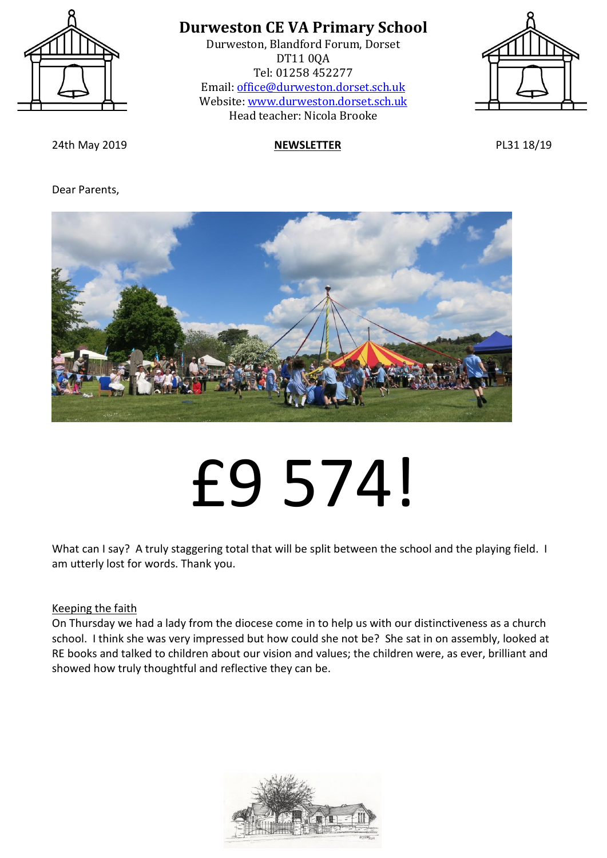

Durweston, Blandford Forum, Dorset DT11 0QA Tel: 01258 452277 Email: [office@durweston.dorset.sch.uk](mailto:office@durweston.dorset.sch.uk) Website: [www.durweston.dorset.sch.uk](http://www.durweston.dorset.sch.uk/) Head teacher: Nicola Brooke



24th May 2019 **NEWSLETTER** PL31 18/19

#### Dear Parents,



# £9 574!

What can I say? A truly staggering total that will be split between the school and the playing field. I am utterly lost for words. Thank you.

#### Keeping the faith

On Thursday we had a lady from the diocese come in to help us with our distinctiveness as a church school. I think she was very impressed but how could she not be? She sat in on assembly, looked at RE books and talked to children about our vision and values; the children were, as ever, brilliant and showed how truly thoughtful and reflective they can be.

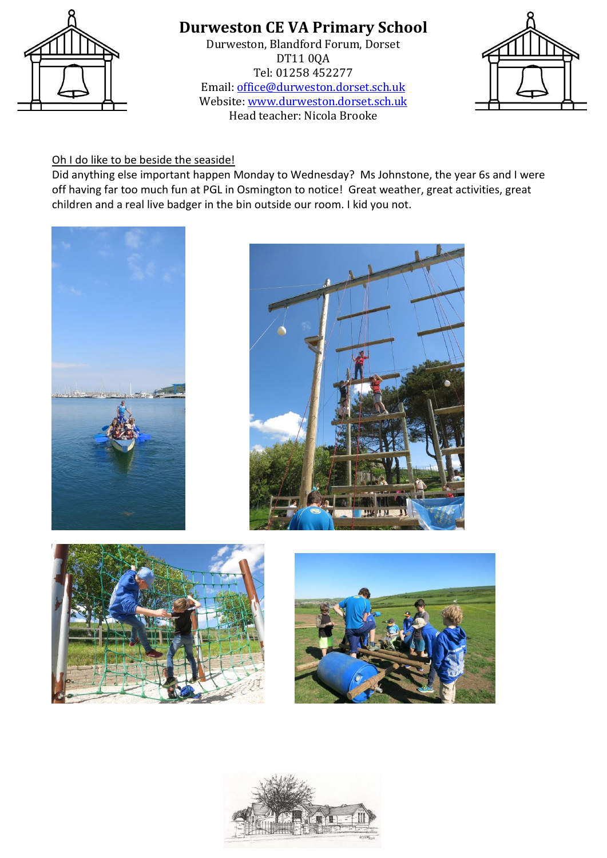

Durweston, Blandford Forum, Dorset DT11 0QA Tel: 01258 452277 Email: [office@durweston.dorset.sch.uk](mailto:office@durweston.dorset.sch.uk) Website: [www.durweston.dorset.sch.uk](http://www.durweston.dorset.sch.uk/) Head teacher: Nicola Brooke



#### Oh I do like to be beside the seaside!

Did anything else important happen Monday to Wednesday? Ms Johnstone, the year 6s and I were off having far too much fun at PGL in Osmington to notice! Great weather, great activities, great children and a real live badger in the bin outside our room. I kid you not.









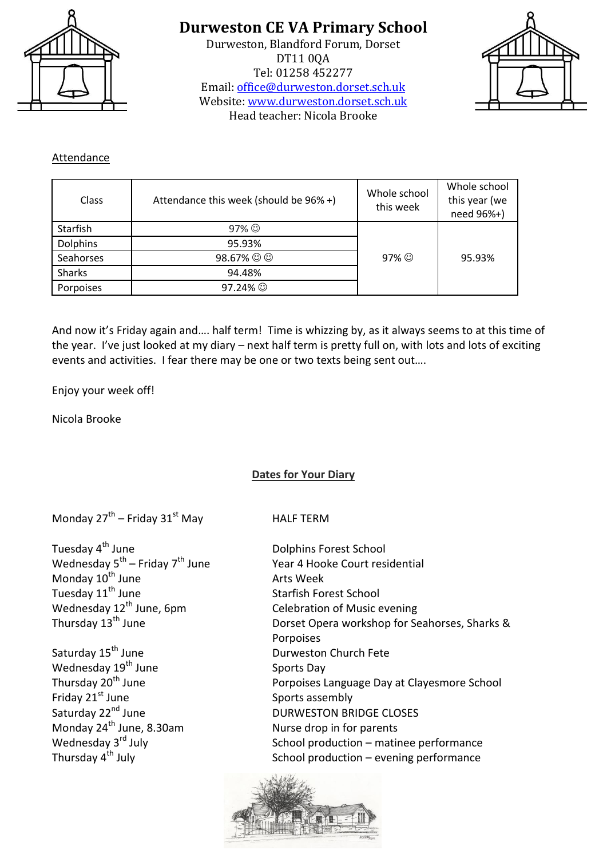

Durweston, Blandford Forum, Dorset DT11 0QA Tel: 01258 452277 Email: [office@durweston.dorset.sch.uk](mailto:office@durweston.dorset.sch.uk) Website: [www.durweston.dorset.sch.uk](http://www.durweston.dorset.sch.uk/) Head teacher: Nicola Brooke



#### Attendance

| Class           | Attendance this week (should be 96% +) | Whole school<br>this week | Whole school<br>this year (we<br>need 96%+) |
|-----------------|----------------------------------------|---------------------------|---------------------------------------------|
| Starfish        | $97\%$                                 |                           |                                             |
| <b>Dolphins</b> | 95.93%                                 |                           |                                             |
| Seahorses       | 98.67% ☺ ☺                             | 97% $\odot$               | 95.93%                                      |
| <b>Sharks</b>   | 94.48%                                 |                           |                                             |
| Porpoises       | $97.24\%$                              |                           |                                             |

And now it's Friday again and…. half term! Time is whizzing by, as it always seems to at this time of the year. I've just looked at my diary – next half term is pretty full on, with lots and lots of exciting events and activities. I fear there may be one or two texts being sent out….

Enjoy your week off!

Nicola Brooke

#### **Dates for Your Diary**

Monday  $27^{th}$  – Friday  $31^{st}$  May Band HALF TERM

Tuesday 4<sup>th</sup> June **Dolphins Forest School** Wednesday 5<sup>th</sup> – Friday 7 Monday  $10^{\text{th}}$  June  $\overline{1}$  arts Week<br>Tuesday  $11^{\text{th}}$  June  $\overline{1}$  Starfish Form Wednesday  $12^{th}$  June, 6pm Celebration of Music evening<br>Thursday  $13^{th}$  June Dorset Opera workshop for Se

Saturday 15<sup>th</sup> June Durweston Church Fete Wednesday  $19^{th}$  June Sports Day Friday 21<sup>st</sup> June Sports assembly<br>Saturday 22<sup>nd</sup> June Saturday 32<sup>nd</sup> June Sports assembly Monday 24<sup>th</sup> June, 8.30am Nurse drop in for parents<br>
Wednesday 3<sup>rd</sup> July School production – matir

Year 4 Hooke Court residential Starfish Forest School Dorset Opera workshop for Seahorses, Sharks & Porpoises Thursday 20<sup>th</sup> June **Porpoises Language Day at Clayesmore School** DURWESTON BRIDGE CLOSES Wednesday  $3^{rd}$  July  $3^{rd}$  July  $3^{rd}$  July  $3^{rd}$  July  $3^{rd}$  July  $3^{rd}$  July  $3^{rd}$  July  $3^{rd}$  July  $3^{rd}$  July  $3^{rd}$  July  $3^{rd}$  July  $3^{rd}$  July  $3^{rd}$  July  $3^{rd}$  July  $3^{rd}$  July  $3^{rd}$  July  $3^{rd}$  July  $3^{rd}$  School production – evening performance